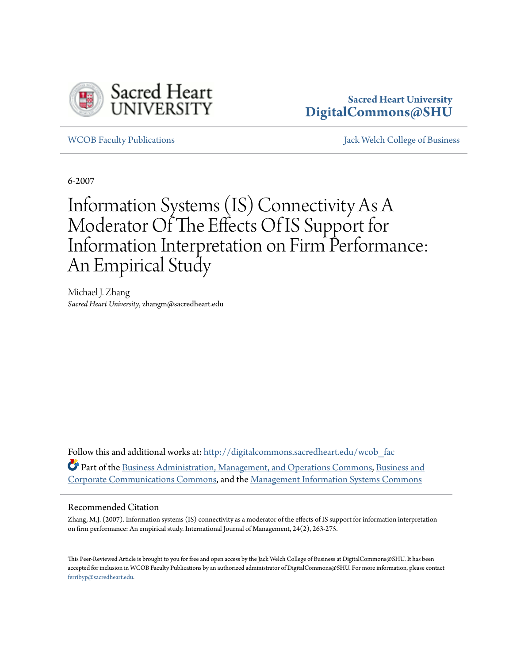

# **Sacred Heart University [DigitalCommons@SHU](http://digitalcommons.sacredheart.edu?utm_source=digitalcommons.sacredheart.edu%2Fwcob_fac%2F32&utm_medium=PDF&utm_campaign=PDFCoverPages)**

[WCOB Faculty Publications](http://digitalcommons.sacredheart.edu/wcob_fac?utm_source=digitalcommons.sacredheart.edu%2Fwcob_fac%2F32&utm_medium=PDF&utm_campaign=PDFCoverPages) [Jack Welch College of Business](http://digitalcommons.sacredheart.edu/wcob?utm_source=digitalcommons.sacredheart.edu%2Fwcob_fac%2F32&utm_medium=PDF&utm_campaign=PDFCoverPages)

6-2007

# Information Systems (IS) Connectivity As A Moderator Of The Effects Of IS Support for Information Interpretation on Firm Performance: An Empirical Study

Michael J. Zhang *Sacred Heart University*, zhangm@sacredheart.edu

Follow this and additional works at: [http://digitalcommons.sacredheart.edu/wcob\\_fac](http://digitalcommons.sacredheart.edu/wcob_fac?utm_source=digitalcommons.sacredheart.edu%2Fwcob_fac%2F32&utm_medium=PDF&utm_campaign=PDFCoverPages) Part of the [Business Administration, Management, and Operations Commons](http://network.bepress.com/hgg/discipline/623?utm_source=digitalcommons.sacredheart.edu%2Fwcob_fac%2F32&utm_medium=PDF&utm_campaign=PDFCoverPages), [Business and](http://network.bepress.com/hgg/discipline/627?utm_source=digitalcommons.sacredheart.edu%2Fwcob_fac%2F32&utm_medium=PDF&utm_campaign=PDFCoverPages) [Corporate Communications Commons](http://network.bepress.com/hgg/discipline/627?utm_source=digitalcommons.sacredheart.edu%2Fwcob_fac%2F32&utm_medium=PDF&utm_campaign=PDFCoverPages), and the [Management Information Systems Commons](http://network.bepress.com/hgg/discipline/636?utm_source=digitalcommons.sacredheart.edu%2Fwcob_fac%2F32&utm_medium=PDF&utm_campaign=PDFCoverPages)

## Recommended Citation

Zhang, M.J. (2007). Information systems (IS) connectivity as a moderator of the effects of IS support for information interpretation on firm performance: An empirical study. International Journal of Management, 24(2), 263-275.

This Peer-Reviewed Article is brought to you for free and open access by the Jack Welch College of Business at DigitalCommons@SHU. It has been accepted for inclusion in WCOB Faculty Publications by an authorized administrator of DigitalCommons@SHU. For more information, please contact [ferribyp@sacredheart.edu](mailto:ferribyp@sacredheart.edu).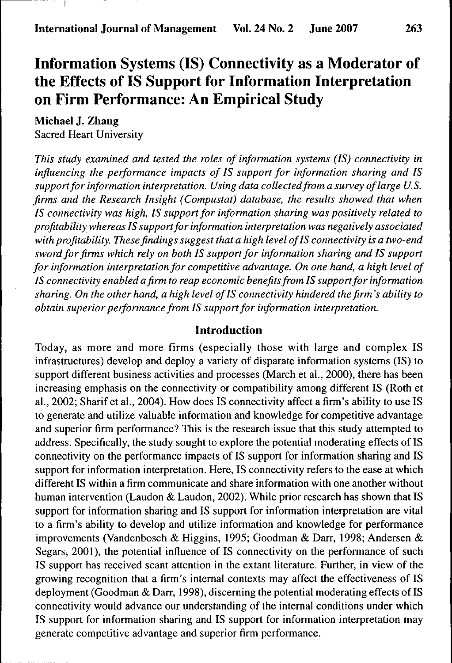## Information Systems (IS) Connectivity as a Moderator of the Effects of IS Support for Information Interpretation on Firm Performance: An Empirical Study

**Michael J. Zhang**

Sacred Heart University

*This study examined and tested the roles of information systems (IS) connectivity in influencing the performance impacts of IS support for information sharing and IS support for information interpretation. Using data collectedfrom a survey of large U.S. firms and the Research Insight (Compustat) database, the results showed that when IS connectivity was high, IS support for information sharing was positively related to profitability whereas IS support for information interpretation was negatively associated with profitability. These findings suggest that a high level of IS connectivity is a two-end sword for firms which rely on both IS support for information sharing and IS support for information interpretation for competitive advantage. On one hand, a high level of IS connectivity enabled a firm to reap economic benefits from IS support for information sharing. On the other hand, a high level of IS connectivity hindered the firm's ability to obtain superior performance from IS support for information interpretation.*

#### **Introduction**

Today, as more and more firms (especially those with large and complex IS infrastructures) develop and deploy a variety of disparate information systems (IS) to support different business activities and processes (March et al., 2000), there has been increasing emphasis on the connectivity or compatibility among different IS (Roth et al., 2002; Sharif et al., 2004). How does IS connectivity affect a firm's ability to use IS to generate and utilize valuable information and knowledge for competitive advantage and superior firm performance? This is the research issue that this study attempted to address. Specifically, the study sought to explore the potential moderating effects of IS connectivity on the performance impacts of IS support for information sharing and IS support for information interpretation. Here, IS connectivity refers to the ease at which different IS within a firm communicate and share information with one another without human intervention (Laudon & Laudon, 2002). While prior research has shown that IS support for information sharing and IS support for information interpretation are vital to a firm's ability to develop and utilize information and knowledge for performance improvements (Vandenbosch & Higgins, 1995; Goodman & Darr, 1998; Andersen & Segars, 2001), the potential influence of IS connectivity on the performance of such IS support has received scant attention in the extant literature. Further, in view of the growing recognition that a firm's internal contexts may affect the effectiveness of IS deployment (Goodman & Darr, 1998), discerning the potential moderating effects of IS connectivity would advance our understanding of the internal conditions under which IS support for information sharing and IS support for information interpretation may generate competitive advantage and superior firm performance.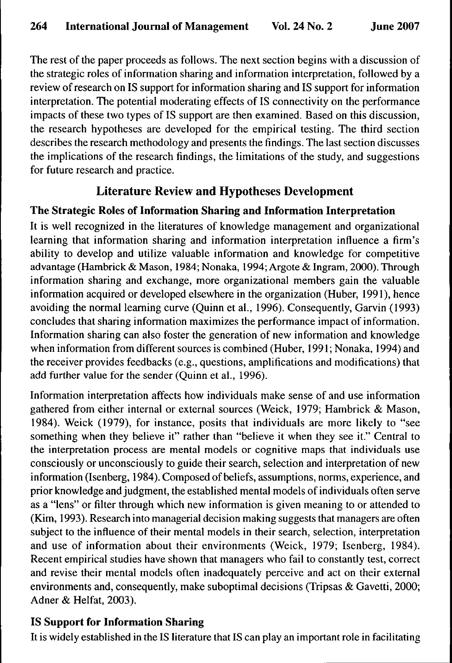The rest of the paper proceeds as follows. The next section begins with a discussion of the strategic roles of information sharing and information interpretation, followed by a review of research on IS support for information sharing and IS support for information interpretation. The potential moderating effects of IS connectivity on the performance impacts of these two types of IS support are then examined. Based on this discussion, the research hypotheses are developed for the empirical testing. The third section describes the research methodology and presents the findings. The last section discusses the implications of the research findings, the limitations of the study, and suggestions for future research and practice.

## Literature Review and Hypotheses Development

## **The Strategic Roles of Information Sharing and Information Interpretation**

It is well recognized in the literatures of knowledge management and organizational learning that information sharing and information interpretation influence a firm's ability to develop and utilize valuable information and knowledge for competitive advantage (Hambrick & Mason, 1984; Nonaka, 1994; Argote & Ingram, 2000). Through information sharing and exchange, more organizational members gain the valuable information acquired or developed elsewhere in the organization (Huber, 1991), hence avoiding the normal learning curve (Quinn et al., 1996). Consequently, Garvin (1993) concludes that sharing information maximizes the performance impact of information. Information sharing can also foster the generation of new information and knowledge when information from different sources is combined (Huber, 1991; Nonaka, 1994) and the receiver provides feedbacks (e.g., questions, amplifications and modifications) that add further value for the sender (Quinn et al., 1996).

Information interpretation affects how individuals make sense of and use information gathered from either internal or external sources (Weick, 1979; Hambrick & Mason, 1984). Weick (1979), for instance, posits that individuals are more likely to "see something when they believe it" rather than "believe it when they see it." Central to the interpretation process are mental models or cognitive maps that individuals use consciously or unconsciously to guide their search, selection and interpretation of new information (Isenberg, 1984). Composed of beliefs, assumptions, norms, experience, and prior knowledge and judgment, the established mental models of individuals often serve as a "lens" or filter through which new information is given meaning to or attended to (Kim, 1993). Research into managerial decision making suggests that managers are often subject to the influence of their mental models in their search, selection, interpretation and use of information about their environments (Weick, 1979; Isenberg, 1984). Recent empirical studies have shown that managers who fail to constantly test, correct and revise their mental models often inadequately perceive and act on their external environments and, consequently, make suboptimal decisions (Tripsas & Gavetti, 2000; Adner & Helfat, 2003).

## **IS Support for Information Sharing**

It is widely established in the IS literature that IS can play an important role in facilitating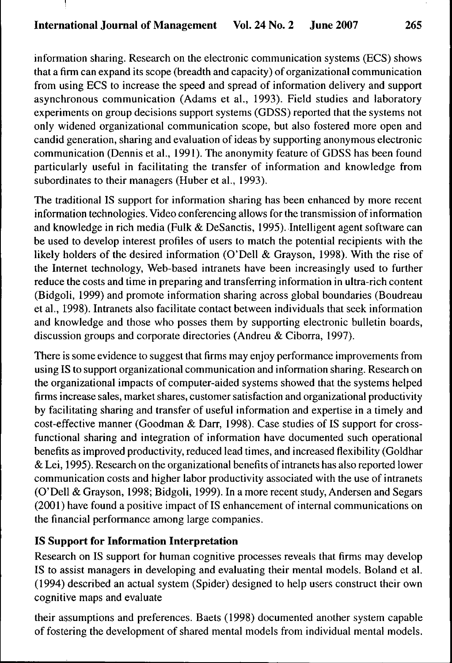information sharing. Research on the electronic communication systems (ECS) shows that a firm can expand its scope (breadth and capacity) of organizational communication from using ECS to increase the speed and spread of infonnation delivery and support asynchronous communication (Adams et al., 1993). Field studies and laboratory experiments on group decisions support systems (GDSS) reported that the systems not only widened organizational communication scope, but also fostered more open and candid generation, sharing and evaluation of ideas by supporting anonymous electronic communication (Dennis et al., 1991). The anonymity feature of GDSS has been found particularly useful in facilitating the transfer of information and knowledge from subordinates to their managers (Huber et al., 1993).

The traditional IS support for information sharing has been enhanced by more recent information technologies. Video conferencing allows for the transmission of information and knowledge in rich media (Fulk & DeSanctis, 1995). Intelligent agent software can be used to develop interest profiles of users to match the potential recipients with the likely holders of the desired information (O'Dell & Grayson, 1998). With the rise of the Internet technology. Web-based intranets have been increasingly used to further reduce the costs and time in preparing and transferring information in ultra-rich content (Bidgoli, 1999) and promote information sharing across global boundaries (Boudreau et al., 1998). Intranets also facilitate contact between individuals that seek information and knowledge and those who posses them by supporting electronic bulletin boards, discussion groups and corporate directories (Andreu & Ciborra, 1997).

There is some evidence to suggest that firms may enjoy performance improvements from using IS to support organizational communication and information sharing. Research on the organizational impacts of computer-aided systems showed that the systems helped firms increase sales, market shares, customer satisfaction and organizational productivity by facilitating sharing and transfer of useful information and expertise in a timely and cost-effective manner (Goodman & Darr, 1998). Case studies of IS support for crossfunctional sharing and integration of information have documented such operational benefits as improved productivity, reduced lead times, and increased flexibility (Goldhar & Lei, 1995). Research on the organizational benefits of intranets has also reported lower communication costs and higher labor productivity associated with the use of intranets (O'Dell & Grayson, 1998; Bidgoli, 1999). In a more recent study, Andersen and Segars (2001) have found a positive impact of IS enhancement of internal communications on the financial performance among large companies.

## **IS Support for Information Interpretation**

Research on IS support for human cognitive processes reveals that firms may develop IS to assist managers in developing and evaluating their mental models. Boland et al. (1994) described an actual system (Spider) designed to help users construct their own cognitive maps and evaluate

their assumptions and preferences. Baets (1998) documented another system capable of fostering the development of shared mental models from individual mental models.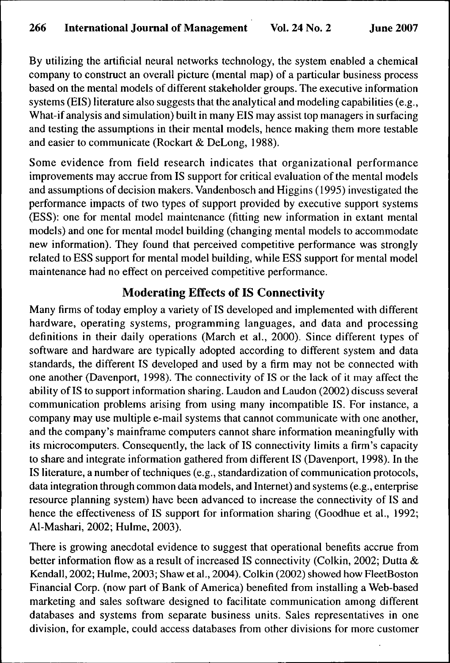By utilizing the artificial neural networks technology, the system enabled a chemical company to construct an overall picture (mental map) of a particular business process based on the mental models of different stakeholder groups. The executive information systems (BIS) literature also suggests that the analytical and modeling capabilities (e.g., What-if analysis and simulation) built in many EIS may assist top managers in surfacing and testing the assumptions in their mental models, hence making them more testable and easier to communicate (Rockart & DeLong, 1988).

Some evidence from field research indicates that organizational performance improvements may accrue from IS support for critical evaluation of the mental models and assumptions of decision makers. Vandenbosch and Higgins (1995) investigated the performance impacts of two types of support provided by executive support systems (ESS): one for mental model maintenance (fitting new information in extant mental models) and one for mental model building (changing mental models to accommodate new information). They found that perceived competitive performance was strongly related to ESS support for mental model building, while ESS support for mental model maintenance had no effect on perceived competitive performance.

## **Moderating Effects of IS Connectivity**

Many firms of today employ a variety of IS developed and implemented with different hardware, operating systems, programming languages, and data and processing definitions in their daily operations (March et al., 2000). Since different types of software and hardware are typically adopted according to different system and data standards, the different IS developed and used by a firm may not be connected with one another (Davenport, 1998). The connectivity of IS or the lack of it may affect the ability of IS to support information sharing. Laudon and Laudon (2002) discuss several communication problems arising from using many incompatible IS. For instance, a company may use multiple e-mail systems that cannot communicate with one another, and the company's mainframe computers cannot share information meaningfully with its microcomputers. Consequently, the lack of IS connectivity limits a firm's capacity to share and integrate information gathered from different IS (Davenport, 1998). In the IS literature, a number of techniques (e.g., standardization of communication protocols, data integration through common data models, and Internet) and systems (e.g., enterprise resource planning system) have been advanced to increase the connectivity of IS and hence the effectiveness of IS support for information sharing (Goodhue et al., 1992; Al-Mashari, 2002; Hulme, 2003).

There is growing anecdotal evidence to suggest that operational benefits accrue from better information flow as a result of increased IS connectivity (Colkin, 2002; Dutta & Kendall, 2002; Hulme, 2003; Shaw et al., 2004). Colkin (2002) showed how FleetBoston Financial Corp. (now part of Bank of America) benefited from installing a Web-based marketing and sales software designed to facilitate communication among different databases and systems from separate business units. Sales representatives in one division, for example, could access databases from other divisions for more customer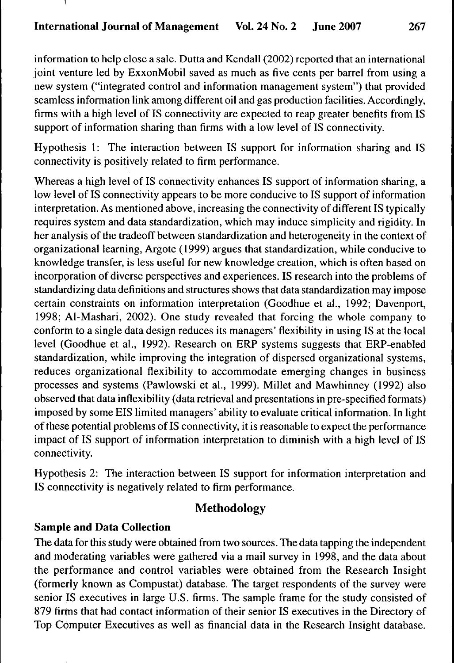information to help close a sale. Dutta and Kendall (2002) reported that an international joint venture led by ExxonMobil saved as much as five cents per barrel from using a new system ("integrated control and information management system") that provided seamless information link among different oil and gas production facilities. Accordingly, firms with a high level of IS connectivity are expected to reap greater benefits from IS support of information sharing than firms with a low level of IS connectivity.

Hypothesis 1: The interaction between IS support for information sharing and IS connectivity is positively related to firm performance.

Whereas a high level of IS connectivity enhances IS support of information sharing, a low level of IS connectivity appears to be more conducive to IS support of information interpretation. As mentioned above, increasing the connectivity of different IS typically requires system and data standardization, which may induce simplicity and rigidity. In her analysis of the tradeoff between standardization and heterogeneity in the context of organizational learning, Argote (1999) argues that standardization, while conducive to knowledge transfer, is less useful for new knowledge creation, which is often based on incorporation of diverse perspectives and experiences. IS research into the problems of standardizing data definitions and structures shows that data standardization may impose certain constraints on information interpretation (Goodhue et al., 1992; Davenport, 1998; Al-Mashari, 2002). One study revealed that forcing the whole company to conform to a single data design reduces its managers' flexibility in using IS at the local level (Goodhue et al., 1992). Research on ERP systems suggests that ERP-enabled standardization, while improving the integration of dispersed organizational systems, reduces organizational flexibility to accommodate emerging changes in business processes and systems (Pawlowski et al., 1999). Millet and Mawhinney (1992) also observed that data inflexibility (data retrieval and presentations in pre-specified formats) imposed by some EIS limited managers' ability to evaluate critical information. In light of these potential problems of IS connectivity, it is reasonable to expect the performance impact of IS support of information interpretation to diminish with a high level of IS connectivity.

Hypothesis 2: The interaction between IS support for information interpretation and IS connectivity is negatively related to firm performance.

## Methodology

## **Sample and Data Collection**

The data for this study were obtained from two sources. The data tapping the independent and moderating variables were gathered via a mail survey in 1998, and the data about the performance and control variables were obtained from the Research Insight (formerly known as Compustat) database. The target respondents of the survey were senior IS executives in large U.S. firms. The sample frame for the study consisted of 879 firms that had contact information of their senior IS executives in the Directory of Top Computer Executives as well as financial data in the Research Insight database.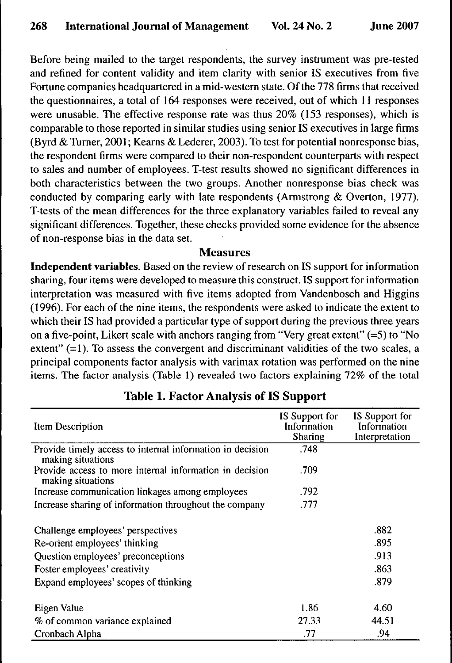Before being mailed to the target respondents, the survey instrument was pre-tested and refined for content validity and item clarity with senior IS executives from five Fortune companies headquartered in a mid-western state. Of the 778 firms that received the questionnaires, a total of 164 responses were received, out of which 11 responses were unusable. The effective response rate was thus 20% (153 responses), which is comparable to those reported in similar studies using senior IS executives in large firms (Byrd & Turner, 2001; Kearns & Lederer, 2003). To test for potential nonresponse bias, the respondent firms were compared to their non-respondent counterparts with respect to sales and number of employees. T-test results showed no significant differences in both characteristics between the two groups. Another nonresponse bias check was conducted by comparing early with late respondents (Armstrong & Overton, 1977). T-tests of the mean differences for the three explanatory variables failed to reveal any significant differences. Together, these checks provided some evidence for the absence of non-response bias in the data set.

#### **Measures**

**Independent variables.** Based on the review of research on IS support for information sharing, four items were developed to measure this construct. IS support for information interpretation was measured with five items adopted from Vandenbosch and Higgins (1996). For each of the nine items, the respondents were asked to indicate the extent to which their IS had provided a particular type of support during the previous three years on a five-point, Likert scale with anchors ranging from "Very great extent"  $(=5)$  to "No extent" (=1). To assess the convergent and discriminant validities of the two scales, a principal components factor analysis with varimax rotation was performed on the nine items. The factor analysis (Table 1) revealed two factors explaining 72% of the total

| Item Description                                                               | IS Support for<br>Information<br>Sharing | IS Support for<br>Information<br>Interpretation |
|--------------------------------------------------------------------------------|------------------------------------------|-------------------------------------------------|
| Provide timely access to internal information in decision<br>making situations | .748                                     |                                                 |
| Provide access to more internal information in decision<br>making situations   | .709                                     |                                                 |
| Increase communication linkages among employees                                | .792                                     |                                                 |
| Increase sharing of information throughout the company                         | .777                                     |                                                 |
| Challenge employees' perspectives                                              |                                          | .882                                            |
| Re-orient employees' thinking                                                  |                                          | .895                                            |
| Question employees' preconceptions                                             |                                          | .913                                            |
| Foster employees' creativity                                                   |                                          | .863                                            |
| Expand employees' scopes of thinking                                           |                                          | .879                                            |
| Eigen Value                                                                    | 1.86                                     | 4.60                                            |
| % of common variance explained                                                 | 27.33                                    | 44.51                                           |
| Cronbach Alpha                                                                 | .77                                      | .94                                             |

## **Table 1. Factor Analysis of IS Support**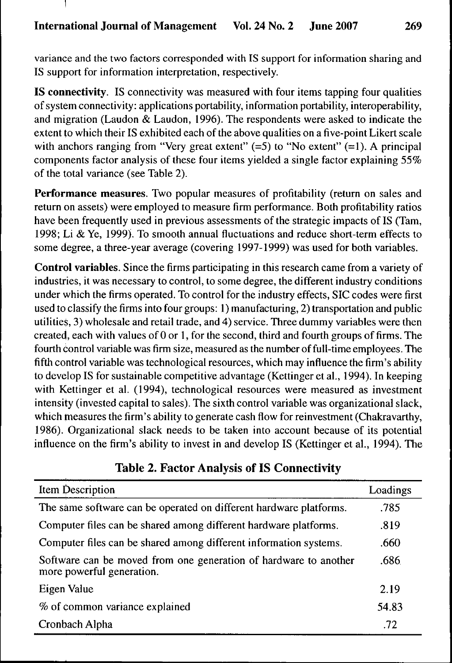**I**

variance and the two factors corresponded with IS support for information sharing and IS support for information interpretation, respectively.

**IS connectivity.** IS connectivity was measured with four items tapping four qualities of system connectivity: applications portability, information portability, interoperability, and migration (Laudon & Laudon, 1996). The respondents were asked to indicate the extent to which their IS exhibited each of the above qualities on a five-point Likert scale with anchors ranging from "Very great extent"  $(=5)$  to "No extent"  $(=1)$ . A principal components factor analysis of these four items yielded a single factor explaining 55% of the total variance (see Table 2).

**Performance measures.** Two popular measures of profitability (return on sales and return on assets) were employed to measure firm performance. Both profitability ratios have been frequently used in previous assessments of the strategic impacts of IS (Tam, 1998; Li & Ye, 1999). To smooth annual fluctuations and reduce short-term effects to some degree, a three-year average (covering 1997-1999) was used for both variables.

**Control variables.** Since the firms participating in this research came from a variety of industries, it was necessary to control, to some degree, the different industry conditions under which the firms operated. To control for the industry effects, SIC codes were first used to classify the firms into four groups: 1) manufacturing, 2) transportation and public utilities, 3) wholesale and retail trade, and 4) service. Three dummy variables were then created, each with values of 0 or 1, for the second, third and fourth groups of firms. The fourth control variable was firm size, measured as the number of full-time employees. The fifth control variable was technological resources, which may infiuence the firm's ability to develop IS for sustainable competitive advantage (Kettinger et al., 1994). In keeping with Kettinger et al. (1994), technological resources were measured as investment intensity (invested capital to sales). The sixth control variable was organizational slack, which measures the firm's ability to generate cash flow for reinvestment (Chakravarthy, 1986). Organizational slack needs to be taken into account because of its potential influence on the firm's ability to invest in and develop IS (Kettinger et al., 1994). The

| Item Description                                                                              | Loadings |
|-----------------------------------------------------------------------------------------------|----------|
| The same software can be operated on different hardware platforms.                            | .785     |
| Computer files can be shared among different hardware platforms.                              | .819     |
| Computer files can be shared among different information systems.                             | .660     |
| Software can be moved from one generation of hardware to another<br>more powerful generation. | .686     |
| Eigen Value                                                                                   | 2.19     |
| % of common variance explained                                                                | 54.83    |
| Cronbach Alpha                                                                                | .72      |

## **Table 2. Factor Analysis of IS Connectivity**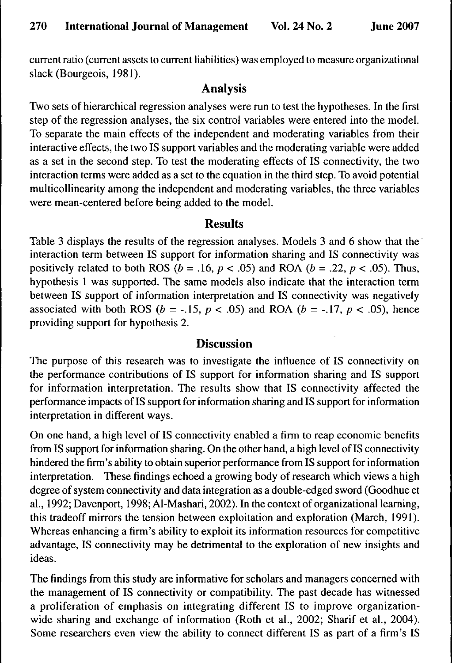current ratio (current assets to current liabilities) was employed to measure organizational slack (Bourgeois, 1981).

## **Analysis**

Two sets of hierarchical regression analyses were run to test the hypotheses. In the first step of the regression analyses, the six control variables were entered into the model. To separate the main effects of the independent and moderating variables from their interactive effects, the two IS support variables and the moderating variable were added as a set in the second step. To test the moderating effects of IS connectivity, the two interaction terms were added as a set to the equation in the third step. To avoid potential multicollinearity among the independent and moderating variables, the three variables were mean-centered before being added to the model.

### Results

Table 3 displays the results of the regression analyses. Models 3 and 6 show that the interaction term between IS support for information sharing and IS connectivity was positively related to both ROS ( $b = .16$ ,  $p < .05$ ) and ROA ( $b = .22$ ,  $p < .05$ ). Thus, hypothesis 1 was supported. The same models also indicate that the interaction term between IS support of information interpretation and IS connectivity was negatively associated with both ROS ( $b = -.15$ ,  $p < .05$ ) and ROA ( $b = -.17$ ,  $p < .05$ ), hence providing support for hypothesis 2.

## **Discussion**

The purpose of this research was to investigate the influence of IS connectivity on the performance contributions of IS support for information sharing and IS support for information interpretation. The results show that IS connectivity affected the perfonnance impacts of IS support for information sharing and IS support for information interpretation in different ways.

On one hand, a high level of IS connectivity enabled a firm to reap economic benefits from IS support for information sharing. On the other hand, a high level of IS connectivity hindered the firm's ability to obtain superior performance from IS support for information interpretation. These findings echoed a growing body of research which views a high degree of system connectivity and data integration as a double-edged sword (Goodhue et al., 1992; Davenport, 1998; Al-Mashari, 2002). In the context of organizational learning, this tradeoff mirrors the tension between exploitation and exploration (March, 1991). Whereas enhancing a firm's ability to exploit its information resources for competitive advantage, IS connectivity may be detrimental to the exploration of new insights and ideas.

The findings from this study are informative for scholars and managers concerned with the management of IS connectivity or compatibility. The past decade has witnessed a proliferation of emphasis on integrating different IS to improve organizationwide sharing and exchange of information (Roth et al., 2002; Sharif et al., 2004). Some researchers even view the ability to connect different IS as part of a firm's IS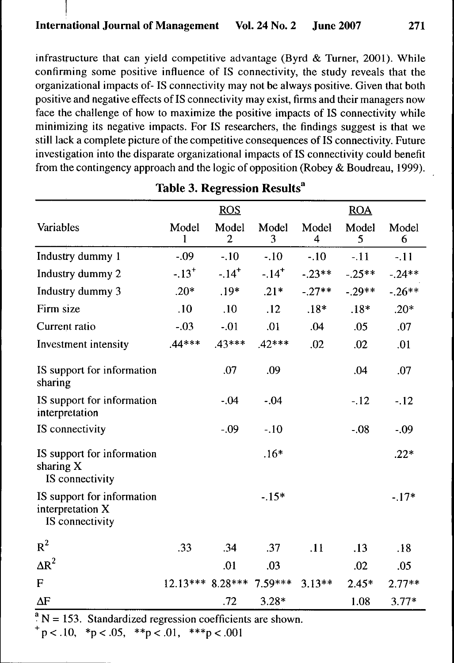infrastructure that can yield competitive advantage (Byrd & Turner, 2001). While confirming some positive influence of IS connectivity, the study reveals that the organizational impacts of- IS connectivity may not be always positive. Given that both positive and negative effects of IS connectivity may exist, firms and their managers now face the challenge of how to maximize the positive impacts of IS connectivity while minimizing its negative impacts. For IS researchers, the findings suggest is that we still lack a complete picture of the competitive consequences of IS connectivity. Future investigation into the disparate organizational impacts of IS connectivity could benefit from the contingency approach and the logic of opposition (Robey & Boudreau, 1999).

|                     | ROS                 |                         |            | <b>ROA</b> |            |
|---------------------|---------------------|-------------------------|------------|------------|------------|
| Model<br>1          | Model<br>2          | Model<br>3              | Model<br>4 | Model<br>5 | Model<br>6 |
| $-.09$              | $-.10$              | $-.10$                  | $-.10$     | $-11$      | $-11$      |
| $-.13$ <sup>+</sup> | $-.14$ <sup>+</sup> | $-.14+$                 | $-.23**$   | $-.25**$   | $-.24**$   |
| $.20*$              | $.19*$              | $.21*$                  | $-.27**$   | $-.29**$   | $-26**$    |
| .10                 | .10                 | .12                     | $.18*$     | $.18*$     | $.20*$     |
| $-.03$              | $-.01$              | .01                     | .04        | .05        | .07        |
| $44***$             | $.43***$            | $.42***$                | .02        | .02        | .01        |
|                     | .07                 | .09                     |            | .04        | .07        |
|                     | $-.04$              | $-.04$                  |            | $-.12$     | $-.12$     |
|                     | $-.09$              | $-.10$                  |            | $-.08$     | $-.09$     |
|                     |                     | $.16*$                  |            |            | $.22*$     |
|                     |                     | $-.15*$                 |            |            | $-.17*$    |
| .33                 | .34                 | .37                     | .11        | .13        | .18        |
|                     | .01                 | .03                     |            | .02        | .05        |
|                     |                     | $7.59***$               | $3.13**$   | $2.45*$    | $2.77**$   |
|                     | .72                 | $3.28*$                 |            | 1.08       | $3.77*$    |
|                     |                     | 12.13*** 8.28***<br>cc. |            |            |            |

## **Table 3. Regression Results^**

 $N = 153$ . Standardized regression coefficients are shown.

 $p < .10$ ,  ${}^{*}p < .05$ ,  ${}^{*}p < .01$ ,  ${}^{*}{}^{*}p < .001$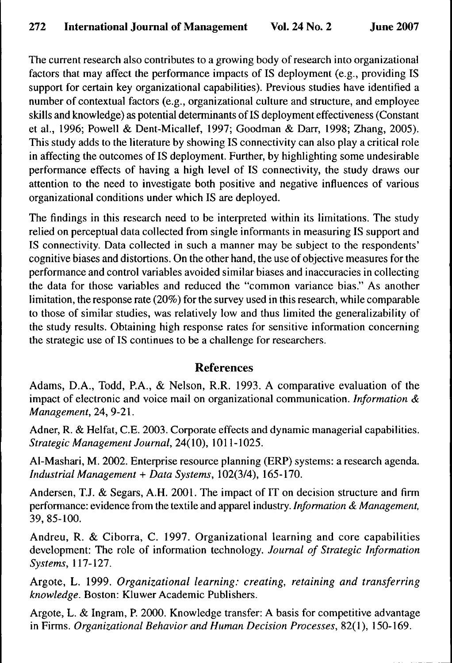The current research also contributes to a growing body of research into organizational factors that may affect the performance impacts of IS deployment (e.g., providing IS support for certain key organizational capabilities). Previous studies have identified a number of contextual factors (e.g., organizational culture and structure, and employee skills and knowledge) as potential determinants of IS deployment effectiveness (Constant et al, 1996; Powell & Dent-Micallef, 1997; Goodman & Darr, 1998; Zhang, 2005). This study adds to the literature by showing IS connectivity can also play a critical role in affecting the outcomes of IS deployment. Further, by highlighting some undesirable performance effects of having a high level of IS connectivity, the study draws our attention to the need to investigate both positive and negative infiuences of various organizational conditions under which IS are deployed.

The findings in this research need to be interpreted within its limitations. The study relied on perceptual data collected from single informants in measuring IS support and IS connectivity. Data collected in such a manner may be subject to the respondents' cognitive biases and distortions. On the other hand, the use of objective measures for the performance and control variables avoided similar biases and inaccuracies in collecting the data for those variables and reduced the "common variance bias." As another limitation, the response rate (20%) for the survey used in this research, while comparable to those of similar studies, was relatively low and thus limited the generalizability of the study results. Obtaining high response rates for sensitive information concerning the strategic use of IS continues to be a challenge for researchers.

#### **References**

Adams, D.A., Todd, P.A., & Nelson, R.R. 1993. A comparative evaluation of the impact of electronic and voice mail on organizational communication. *Information & Management,* 24, 9-21.

Adner, R. & Helfat, C.E. 2003. Corporate effects and dynamic managerial capabilities. *Strategic Management Joumal,* 24(10), 1011-1025.

Al-Mashari, M. 2002. Enterprise resource planning (ERP) systems: a research agenda. *Industrial Management* + *Data Systems,* 102(3/4), 165-170.

Andersen, T.J. & Segars, A.H. 2001. The impact of IT on decision structure and firm performance: evidence from the textile and apparel industry. *Infonnation & Management,* 39, 85-100.

Andreu, R. & Ciborra, C. 1997. Organizational learning and core capabilities development: The role of information technology. *Joumal of Strategic Information Systems,* 117-127.

Argote, L. 1999. *Organizational learning: creating, retaining and transferring knowledge.* Boston: Kluwer Academic Publishers.

Argote, L. & Ingram, P. 2000. Knowledge transfer: A basis for competitive advantage in Firms. *Organizational Behavior and Human Decision Processes,* 82(1), 150-169.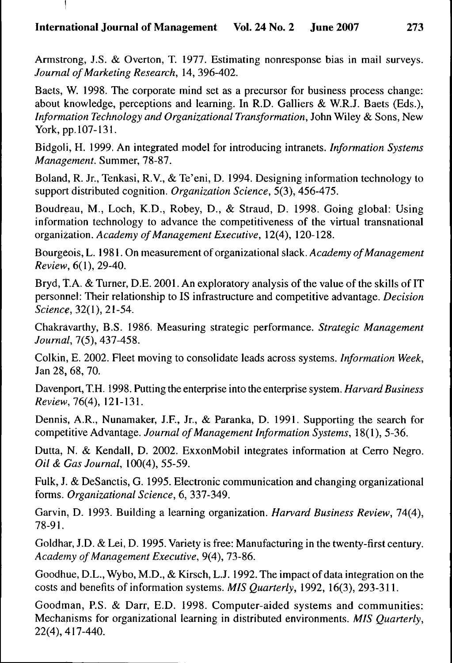## **International Joumal of Management Vol. 24 No. 2 June 2007 273**

Armstrong, J.S. & Overton, T. 1977. Estimating nonresponse bias in mail surveys. *Journal of Marketing Research,* 14, 396-402.

Baets, W. 1998. The corporate mind set as a precursor for business process change: about knowledge, perceptions and learning. In R.D. Galliers & W.R.J. Baets (Eds.), *Information Technology and Organizational Transformation,* John Wiley & Sons, New York, pp. 107-131.

Bidgoli, H. 1999. An integrated model for introducing intranets. *Information Systems Management.* Summer, 78-87.

Boland, R. Jr., Tenkasi, R.V., & Te'eni, D. 1994. Designing information technology to support distributed cognition. *Organization Science,* 5(3), 456-475.

Boudreau, M., Loch, K.D., Robey, D., & Straud, D. 1998. Going global: Using information technology to advance the competitiveness of the virtual transnational *OTgBmtaiion. Academy of Management Executive,* 12(4), 120-128.

Bourgeois, L. 1981. On measurement of organizational slack. *Academy of Management Review,* 6(1), 29-40.

Bryd, T.A. & Turner, D.E. 2001. An exploratory analysis of the value of the skills of IT personnel: Their relationship to IS infrastructure and competitive advantage. *Decision Science, 32{\),2\-5A.*

Chakravarthy, B.S. 1986. Measuring strategic performance. *Strategic Management Joumal,* 7(5), 437-458.

Coikin, E. 2002. Fleet moving to consolidate leads across systems. *Information Week,* Jan 28, 68, 70.

Davenport, T.H. 1998. Putting the enterprise into the enterprise system. *Harvard Business Review, 76(4),* 121-131.

Dennis, A.R., Nunamaker, J.F., Jr., & Paranka, D. 1991. Supporting the search for competitive Advantage. *Joumal of Management Information Systems,* 18(1), 5-36.

Dutta, N. & Kendall, D. 2002. ExxonMobil integrates information at Cerro Negro. *Oil & Gas Joumal,* 100(4), 55-59.

Fulk, J. & DeSanctis, G. 1995. Electronic communication and changing organizational forms. *Organizational Science,* 6, 337-349.

Garvin, D. 1993. Building a learning organization. *Harvard Business Review,* 74(4), 78-91.

Goldhar, J.D. & Lei, D. 1995. Variety is free: Manufacturing in the twenty-first century. *Academy of Management Executive,* 9(4), 73-86.

Goodhue, D.L., Wybo, M.D., & Kirsch, L.J. 1992. The impact of data integration on the costs and benefits of information systems. *MIS Quarterly,* 1992, 16(3), 293-311.

Goodman, P.S. & Darr, E.D. 1998. Computer-aided systems and communities: Mechanisms for organizational learning in distributed environments. *MIS Quarterly,* 22(4), 417-440.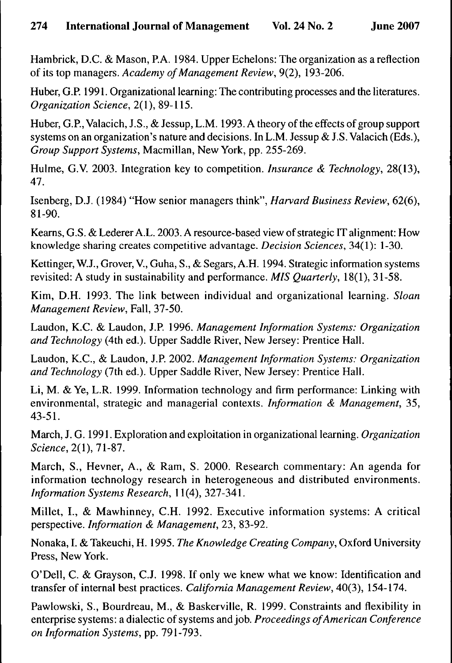Hambrick, D.C. & Mason, P.A. 1984. Upper Echelons: The organization as a reflection of its top managers. *Academy of Management Review,* 9(2), 193-206.

Huber, G.P. 1991. Organizational learning: The contributing processes and the literatures. *Organization Science,* 2(1), 89-115.

Huber, G.P., Valacich, J.S., & Jessup, L.M. 1993. A theory of the effects of group support systems on an organization's nature and decisions. In L.M. Jessup & J.S. Valacich (Eds.), *Group Support Systems,* Macmillan, New York, pp. 255-269.

Hulme, G.V. 2003. Integration key to competition. *Insurance & Technology,* 28(13), 47.

Isenberg, D.J. (1984) "How senior managers think", *Harvard Business Review,* 62(6), 81-90.

Kearns, G.S. & Lederer A.L. 2003. A resource-based view of strategic IT alignment: How knowledge sharing creates competitive advantage. *Decision Sciences,* 34(1): 1-30.

Kettinger, W.J., Grover, V., Guha, S., & Segars, A.H. 1994. Strategic information systems revisited: A study in sustainability and performance. *MIS Quarterly,* 18(1), 31-58.

Kim, D.H. 1993. The link between individual and organizational learning. *Sloan Management Review,* Fall, 37-50.

Laudon, K.C. & Laudon, J.P. 1996. *Management Information Systems: Organization and Technology* (4th ed.). Upper Saddle River, New Jersey: Prentice Hall.

Laudon, K.C, & Laudon, J.P. 2002. *Management Information Systems: Organization and Technology* (7th ed.). Upper Saddle River, New Jersey: Prentice Hall.

Li, M. & Ye, L.R. 1999. Information technology and firm performance: Linking with environmental, strategic and managerial contexts. *Information & Management,* 35, 43-51.

March, J. G. 1991. Exploration and exploitation in organizational learning. *Organization Science,* 2(1), 71-87.

March, S., Hevner, A., & Ram, S. 2000. Research commentary: An agenda for information technology research in heterogeneous and distributed environments. *Information Systems Research,* 11(4), 327-341.

Millet, I., & Mawhinney, C.H. 1992. Executive information systems: A critical perspective. *Information & Management,* 23, 83-92.

Nonaka, I. & Takeuchi, H. 1995. *The Knowledge Creating Company,* Oxford University Press, New York.

O'Dell, C. & Grayson, C.J. 1998. If only we knew what we know: Identification and transfer of internal best practices. *California Management Review,* 40(3), 154-174.

Pawlowski, S., Bourdreau, M., & Baskerville, R. 1999. Constraints and flexibility in enterprise systems: a dialectic of systems and job. *Proceedings of American Conference on Information Systems,* pp. 791-793.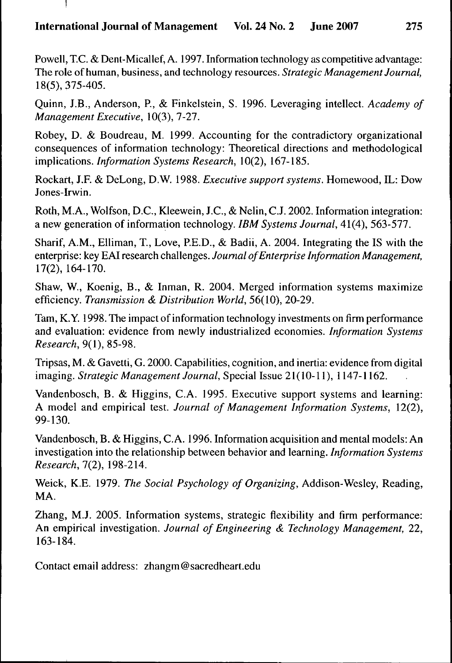## **International Joumal of Management Vol. 24 No. 2 June 2007 275**

Powell, TC. & Dent-Micallef, A. 1997. Information technology as competitive advantage: The role of human, business, and technology resources. *Strategic Management Journal,* 18(5), 375-405.

Quinn, J.B., Anderson, P., & Finkelstein, S. 1996. Leveraging intellect. *Academy of Management Executive,* 10(3), 7-27.

Robey, D. & Boudreau, M. 1999. Accounting for the contradictory organizational consequences of information technology: Theoretical directions and methodological *s. Information Systems Research,* 10(2), 167-185.

Rockart, J.F. & DeLong, D.W. 1988. *Executive support systems.* Homewood, IL: Dow Jones-Irwin.

Roth, M.A., Wolfson, D.C, Kleewein, J.C, & Nelin, CJ. 2002. Information integration: a new generation of information technology. *IBM Systems Journal,* 41(4), 563-577.

Sharif, A.M., Elliman, T., Love, P.E.D., & Badii, A. 2004. Integrating the IS with the enterprise: key EAI research challenges. *Joumal of Enterprise Information Management,* 17(2), 164-170.

Shaw, W., Koenig, B., & Inman, R. 2004. Merged information systems maximize efficiency. *Transmission & Distribution World,* 56(10), 20-29.

Tam, K.Y. 1998. The impact of information technology investments on firm performance and evaluation: evidence from newly industrialized economies. *Information Systems Research, 9{\),%5-9%.*

Tripsas, M. & Gavetti, G. 2000. Capabilities, cognition, and inertia: evidence from digital imaging. Strategic Management Journal, Special Issue 21(10-11), 1147-1162.

Vandenbosch, B. & Higgins, CA. 1995. Executive support systems and learning: A model and empirical test. *Journal of Management Information Systems,* 12(2), 99-130.

Vandenbosch, B. & Higgins, C A. 1996. Information acquisition and mental models: An investigation into the relationship between behavior and learning. *Information Systems Research, 1{2),* 198-214.

Weick, K.E. 1979. *The Social Psychology of Organizing,* Addison-Wesley, Reading, MA.

Zhang, M.J. 2005. Information systems, strategic flexibility and firm performance: An empirical investigation. *Journal of Engineering & Technology Management,* 22, 163-184.

Contact email address: zhangm@sacredheart.edu